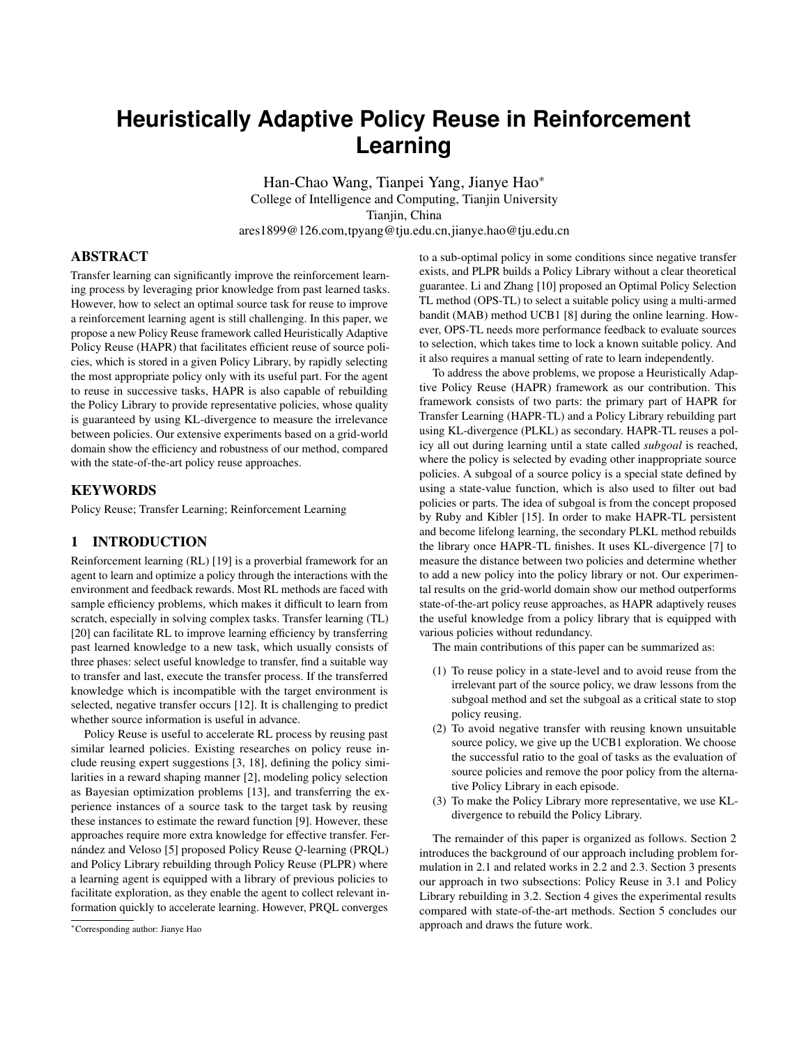# **Heuristically Adaptive Policy Reuse in Reinforcement Learning**

Han-Chao Wang, Tianpei Yang, Jianye Hao\* College of Intelligence and Computing, Tianjin University Tianjin, China ares1899@126.com,tpyang@tju.edu.cn,jianye.hao@tju.edu.cn

# ABSTRACT

Transfer learning can significantly improve the reinforcement learning process by leveraging prior knowledge from past learned tasks. However, how to select an optimal source task for reuse to improve a reinforcement learning agent is still challenging. In this paper, we propose a new Policy Reuse framework called Heuristically Adaptive Policy Reuse (HAPR) that facilitates efficient reuse of source policies, which is stored in a given Policy Library, by rapidly selecting the most appropriate policy only with its useful part. For the agent to reuse in successive tasks, HAPR is also capable of rebuilding the Policy Library to provide representative policies, whose quality is guaranteed by using KL-divergence to measure the irrelevance between policies. Our extensive experiments based on a grid-world domain show the efficiency and robustness of our method, compared with the state-of-the-art policy reuse approaches.

### KEYWORDS

Policy Reuse; Transfer Learning; Reinforcement Learning

## 1 INTRODUCTION

Reinforcement learning (RL) [19] is a proverbial framework for an agent to learn and optimize a policy through the interactions with the environment and feedback rewards. Most RL methods are faced with sample efficiency problems, which makes it difficult to learn from scratch, especially in solving complex tasks. Transfer learning (TL) [20] can facilitate RL to improve learning efficiency by transferring past learned knowledge to a new task, which usually consists of three phases: select useful knowledge to transfer, find a suitable way to transfer and last, execute the transfer process. If the transferred knowledge which is incompatible with the target environment is selected, negative transfer occurs [12]. It is challenging to predict whether source information is useful in advance.

Policy Reuse is useful to accelerate RL process by reusing past similar learned policies. Existing researches on policy reuse include reusing expert suggestions [3, 18], defining the policy similarities in a reward shaping manner [2], modeling policy selection as Bayesian optimization problems [13], and transferring the experience instances of a source task to the target task by reusing these instances to estimate the reward function [9]. However, these approaches require more extra knowledge for effective transfer. Fernández and Veloso [5] proposed Policy Reuse Q-learning (PRQL) and Policy Library rebuilding through Policy Reuse (PLPR) where a learning agent is equipped with a library of previous policies to facilitate exploration, as they enable the agent to collect relevant information quickly to accelerate learning. However, PRQL converges

to a sub-optimal policy in some conditions since negative transfer exists, and PLPR builds a Policy Library without a clear theoretical guarantee. Li and Zhang [10] proposed an Optimal Policy Selection TL method (OPS-TL) to select a suitable policy using a multi-armed bandit (MAB) method UCB1 [8] during the online learning. However, OPS-TL needs more performance feedback to evaluate sources to selection, which takes time to lock a known suitable policy. And it also requires a manual setting of rate to learn independently.

To address the above problems, we propose a Heuristically Adaptive Policy Reuse (HAPR) framework as our contribution. This framework consists of two parts: the primary part of HAPR for Transfer Learning (HAPR-TL) and a Policy Library rebuilding part using KL-divergence (PLKL) as secondary. HAPR-TL reuses a policy all out during learning until a state called *subgoal* is reached, where the policy is selected by evading other inappropriate source policies. A subgoal of a source policy is a special state defined by using a state-value function, which is also used to filter out bad policies or parts. The idea of subgoal is from the concept proposed by Ruby and Kibler [15]. In order to make HAPR-TL persistent and become lifelong learning, the secondary PLKL method rebuilds the library once HAPR-TL finishes. It uses KL-divergence [7] to measure the distance between two policies and determine whether to add a new policy into the policy library or not. Our experimental results on the grid-world domain show our method outperforms state-of-the-art policy reuse approaches, as HAPR adaptively reuses the useful knowledge from a policy library that is equipped with various policies without redundancy.

The main contributions of this paper can be summarized as:

- (1) To reuse policy in a state-level and to avoid reuse from the irrelevant part of the source policy, we draw lessons from the subgoal method and set the subgoal as a critical state to stop policy reusing.
- (2) To avoid negative transfer with reusing known unsuitable source policy, we give up the UCB1 exploration. We choose the successful ratio to the goal of tasks as the evaluation of source policies and remove the poor policy from the alternative Policy Library in each episode.
- (3) To make the Policy Library more representative, we use KLdivergence to rebuild the Policy Library.

The remainder of this paper is organized as follows. Section 2 introduces the background of our approach including problem formulation in 2.1 and related works in 2.2 and 2.3. Section 3 presents our approach in two subsections: Policy Reuse in 3.1 and Policy Library rebuilding in 3.2. Section 4 gives the experimental results compared with state-of-the-art methods. Section 5 concludes our approach and draws the future work.

<sup>\*</sup>Corresponding author: Jianye Hao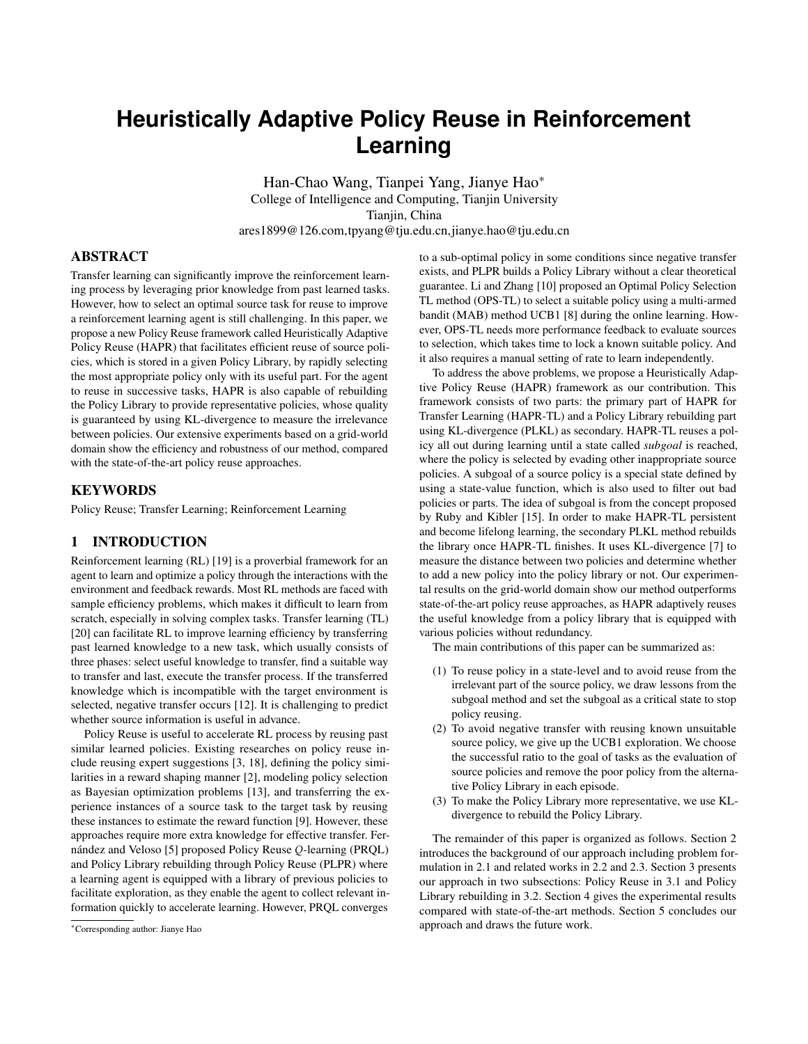# 2 BACKGROUND

### 2.1 Policy Reuse Problem

RL problems are usually formulated as Markov Decision Processes (MDPs), which is defined in a 5-tuple  $\langle S, A, T, R, \gamma \rangle$ . S is a finite set of states. A is a finite set of actions. T is a stochastic state transition function (T = S A S ! <>  $\bigcirc$  1\% R is a stochastic reward function  $(R = S \quad A \quad S \leq \cdot)$ . And  $\gamma$  is a discounted factor  $(\gamma \cdot 2 < 0.1)$ %. A policy  $\pi$  is defined as a function that specifies an appropriate action  $a = \pi^3$ s<sup>o</sup> for each state s. An agent following  $\pi$  will get a discounted<br>total reward  $W = \begin{bmatrix} H & \mu h & 1 & \mu h & \mu h & \mu h & \mu h & \mu h \end{bmatrix}$ total reward  $W = \frac{H}{h-1} \gamma h^{-1} R^1 s_h$ ;  $a_h^{\alpha}$ °, with reward  $R^1 s_h$ ;  $a_h^{\alpha}$ <br>feedback in step h. The solution of an MDP is to find an optimal feedback in step h. The solution of an MDP is to find an optimal policy  $\pi$  = arg max E»W ¼o maximize the expected value of W. In practice, the mean of sampled reward  $\overline{W}$  is also an evaluating indicator for the algorithm performance.

To formally describe the *policy reuse problem*, a domain D is defined as a sub-tuple  $\langle S, A, T \rangle$  of MDPs. And a task is defined as a tuple  $\langle D \rangle R$  > with domain D and R of MDPs. A policy library L is a set of source policies  $\pi_1$ ;  $\pi_2$ ;  $\pi_n$ , where policy  $\pi_i$ is a trained policy of task  $\mu$ . With different task intervals in the same domain D, the *policy reuse problem* is to find a way to learn the optimal policy  $\pi$  of every new task by reusing source policy selected from a given policy library L.

### 2.2 Policy Reuse Methods

Compositional Q-learning [16] first prompted the problem of learning multiple tasks in the same domain by TL. In addition, a different Policy Reuse context for the lifelong autonomous agent was described by Rosman *et al.* [13]. PRQL [5] optimize gave a classic Policy Reuse framework to solve this problem. PRQL reuses policy, which is selected from the Policy Library with its own policy being trained following the soft-max (Boltzmann distribution) strategy, as the training policy in a certain probability. A current method OPS-TL [10] optimizes policy selection method of PRQL by using MAB method of UCB1 [8]. However, the exploration rate of OPS-TL is also increased exponentially without effective reuse in a training episode. And with no contribution, the UCB1 method sometimes selects a known poorer policy for exploration.

Reuse with exploration leads to that PRQL and OPS-TL can't quickly learn a task similar to the source task. And the reserved selection makes PRQL and OPS-TL cannot get rid of the condition of reusing unsuitable policy quickly, which leads to negative transfer at the beginning. By contrast, Our Policy Reuse method HAPR-TL will lock the selection of the most suitable policy and fully reuse the useful part of the policy.

## 2.3 Policy Library Rebuilding Methods

Policy Library rebuilding method provides source policies to serve future Transfer Learning and responds to the domain structure to a certain extent.

PLPR proposed by Fernández and Veloso is the only Policy Library rebuilding method that is associated with Policy Reuse. However, PLPR lacks intuitive explanation. For library rebuilding and allowing the mechanics of the environment to be learned, a parallel learning method is proposed by Ollington and Vamplew [11]. However, problems don't arise just right together in reality.

In addition, the method of Earth Mover's Distance (EMD) [14] using Wasserstein Metric can also be used to present the dissimilarity between policies as an improved method of PLPR. The recent work on representing similarity between distributions was proposed by Song *et al.*, which defines a distance between MDPs using EMD [17]. However, computing EMD needs a high time complexity.

Our Policy Library rebuilding method PLKL optimizes PLPR with the theoretical support of KL-divergence [7]. So that PLKL can further solve sequential tasks by using previous source policies as PLPR does. PLKL computes the KL-divergence in both directions of each two policies as the criteria for rebuilding the policy library simply and sufficiently.

#### 3 APPROACH

Our approach addresses the *policy reuse problem*. It starts with a Policy Library L, and it uses a policy reuse method to learn an optimal policy of a target task with a source policy, which is selected by a policy selection method from L. Our approach has also rebuilt L for the next task to learn. In this section, we give our policy reuse framework HAPR to solve the Policy Reuse problem, which concludes its main part HAPR-TL for policy reuse, with a library rebuilding method PLKL to assist it, as shown in Algorithm [1.](#page-1-0)

| Algorithm 1 HAPR |             |                                  |  |  |  |  |
|------------------|-------------|----------------------------------|--|--|--|--|
|                  |             | <b>Require:</b> Policy Library L |  |  |  |  |
|                  | 1: $loop$   |                                  |  |  |  |  |
|                  |             | 2: get a new task                |  |  |  |  |
|                  |             | 3: $\pi$ HAPR-TL( : L)           |  |  |  |  |
|                  |             | 4: $L$ PLKL $(L;\pi)$            |  |  |  |  |
|                  | 5: end loop |                                  |  |  |  |  |

<span id="page-1-0"></span>In Algorithm [1,](#page-1-0) given a policy library L and a new task , HAPR-TL learns an optimal policy of by fully reusing policies selected from L. And PLKL rebuilds the Policy Library L once obtaining the learned policy. The details of each part are shown in the following section [3.1,](#page-1-1) and section 3.2, which are two main components of our transfer learning framework.

#### <span id="page-1-1"></span>3.1 Policy Reuse with Selection for TL

Considering that the agent cannot foresee whether the knowledge of source policy is suitable for the target task to transfer, our approach focuses on the way to select the useful part from given source policies for reuse. In this section, we introduce our HAPR-TL method in two parts following: Policy Selection and Policy Reuse.

Policy Selection in HAPR-TLAn intention of Policy Reuse is to reuse useful parts of source policies not to well-train before. In our approach, the source policy selection method has three purposes.

- (1) To quickly lock the most suitable policy for the target task.
- (2) To get the useful part of a selected source policy to reuse.
- (3) To stop reuse once the target policy performs as good as the source policy.

In our algorithms:  $S$  stands for the state set containing all the available states in our domain; L stands for the Policy Library; and L' stands for the policy set for selecting source policies. And  $|S|$ ,  $|L|$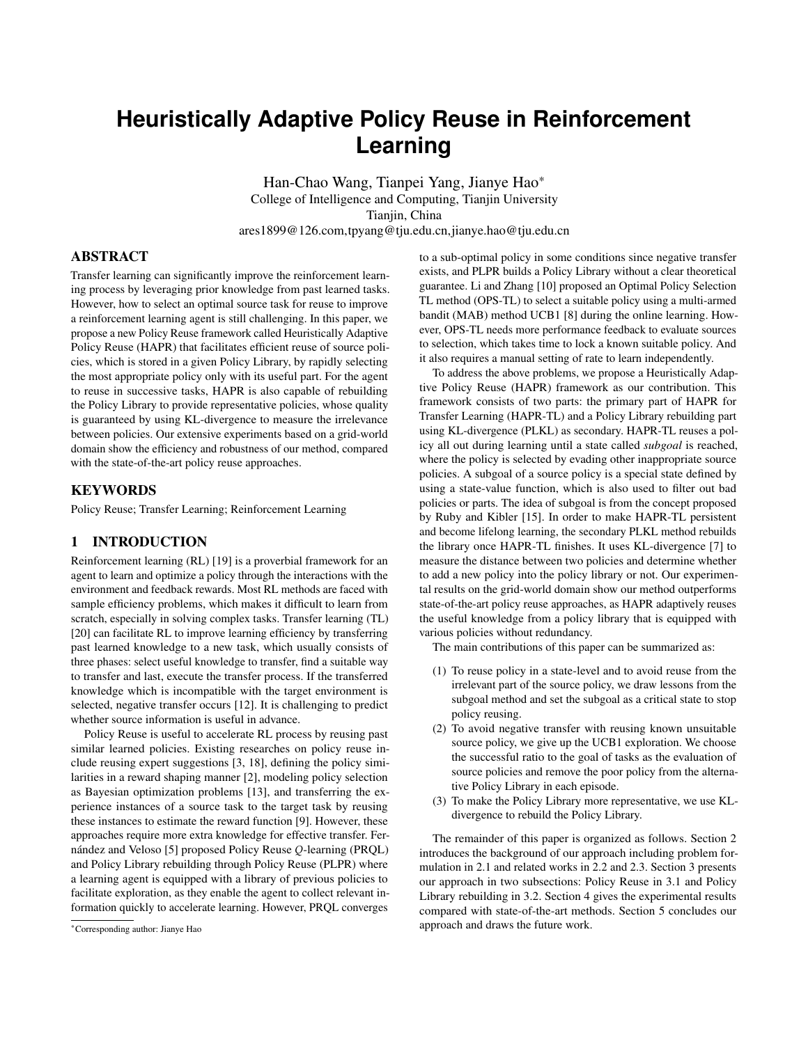Algorithm 2 HAPR-TL( ;L)

Require: States Ses; target task with its goal state<sub>G</sub>; source policies in Policy LibraryL with theQ-function, theC-functions and the subgoal set for each policy 1: Initialize Target Policy :  $8Q<sup>1</sup>s$ ;  $a<sup>0</sup>$  0,  $8C<sup>1</sup>s<sup>0</sup>$  0  $\n *v*$   $\frac{1}{4}$ ;  $L^0$ L; s  $s_G$ ; n<sub>i</sub> 1, p<sub>i</sub> 0:5 8i = 1::jLj 2: for  $n = 1$ ::N do 3: if  $s_G < \text{or } 8s < \text{ for subgoals of any policy in } L^0$  then 4: if  $n > 1$  then 5: p<sup>k</sup> p<sub>k</sub> n<sub>k</sub>  $n_k + 1$ 6: end if 7: k the next index of  $\,$ i 2 L<sup>0</sup> 8: else 9: p<sup>k</sup>  $p_k$   $n_k$  +1 9:  $\frac{p_k}{n_k+1}$ <br>10: for 8 i 2 L<sup>0</sup>do 11: if 2  $p_i < max$   $_1 2L^{01}p_j^0$  then 12:  $L^0$ <sup>0</sup> L 0 f i g 13: else 14:  $q^1$  i <sup>0</sup> s2  $\frac{1}{8}$ ; s<sub>G</sub>  $\frac{1}{4}$ minf 0; C<sub>i</sub> <sup>1</sup>s<sup>0</sup> 15: end if 16: end for 17: k arg $\text{maxf} \ g^1$  i <sup>o</sup>j i 2 L<sup>0</sup>g 18: end if 19:  $n_k$   $n_k + 1$ 20: Get uniform random Initial State 2 S 21: Get the subgoal of  $k$  by and the performance of . 22:  $[ , ]$  \_reuse $({ }_{\mathsf{k}};$  ;s<sub>0</sub>;s;s<sub>G</sub>; ) 23: end for 24: return

In our approach, we propose Cafunction to present the importance of states. If a source policy only contains unction, we will addC-function to the policy. The values  $\alpha$  can be gured out by generating a series of trajectories guided  $\mathbf{C}$  updates every step in a sampled trajectory. In a step from stateo s:

$$
C1s0 1 1 0 1C1s0 + 10 + C1s0
$$
 (1)

whereC is updated in the form of the linear combination  $6fs^0 + 1^0$ andc<sup>1</sup>S<sup>0</sup>. Stepsize shares the same value with the stepsiz@ of iteration in our approach. Finall@ needs to be normalized. We use C-function for both comparing the source policies and obtaining the subgoal set.

For the trajectory reaching the goal and the subgoal in the previous episode, we calculate the cumulative value of verthe thresholo. for every source policy i ${\tt h}^0$ to compare and select an outstanding source policy  $_k$  (Line: 14, 17):<br>O

k arg max 
$$
1 \text{min} \{0; C_1 \} 1 \text{se} \quad 8 \text{g}^0
$$
 (2)  
\n $s^2 \, 8; s^3$ 

where  $\mathcal{R}_S$ ;  $S_G$  ¼s the set including all the state from to  $S_G$  that the trajectory passes through.

Sharing the same idea with saubgoalmethod  $\beta$ ], we useCfunction of each source policy to gure out its subgoal set as Algorithm2 requires. In the<sup>th</sup> step of a sampled trajectory based on a source policy, that the state is a subgoalof the policy subjects to:

$$
C^1s_n^0 > \max^1 C; \ C^1s_n + 1^{00} \tag{3}
$$

where

$$
C^{1}S_{1}^{0} = C^{1}S_{1}^{0} \t C^{1}S_{1} \t 1^{0} \t (4)
$$

In Formula 3 and  $4<sub>c</sub>$  and are two positive thresholds, which indicates that  $C^1s_h^0$  > 0 for the subgoas<sub>th</sub>. For each source policy, our approach only adopts its subgoals in a small number, which number can be effectively controlled by adjusting these two thresholds.

The C-function can also be used to examine how frequently the training has worked in a state, and also to gure out the KLdivergence between policies.

an the states passed in the previous opisode in stati. Shigas policies. This method is constructed to match the following Policy<br>reached the goal of the target task and also reaches at least one specified The HAPR-TL method nishes with returning the policy derived byQ with C included. Our Selection method uses the notion of subgoal andC-function to avoid negative transfer from source Reuse method.

> Policy Reuse of HAPR-TL. As we hand over the duty of sifting the useful part of source policy to the Policy Selection method, in Algorithm 2, we character our Policy Reuse method to completely reuse the given policy. The subgoastelected in Algorithm 2 is used as a signal in our Policy Reuse method shown in Algorithm 3. Our method keeps reusing the source policy until a given subgoal is reached and then turns to learn with its own policy.

> To reuse policy fully inH steps, we keep reusing policy until a provided subgoal reached (Line: 3-4). After the step arrivingin an episode: if we have arrived the goal of the target task in the previous episode, we will use thegreedy method to correct our target policy; otherwise we use the random policy to enhance our exploration (Line: 5-10).

> A new state trajectory<sub>neo</sub> consists of the initial state<sub>0</sub> and all the state arrived after an action in each step (Line: 1,12). When

andjL<sup>0</sup>j are the numbers of elements in those sets.a mean-value threshold of the C-function  ${}^{1}$ & :=  $\frac{1}{|S|}$ <sup>o</sup>.

Algorithm 2 takesN episodes to train the policy for. In each episode, our selection method rst selects a source policy to reuse (Line: 3-18) and then revise the state of subgoal (Line: 21). After that is our Policy Reuse method (Line: 22; shown in Algorithm 3).

For each episode,is the sampled state trajectory, which records all the states passed in the previous episode in order. Onlyais subgoal of any source policy la Uline: 8), ourpolicy selection mechanism will really be implemented (Line: 10-17). Otherwise, it will select a policy and a subgoal in turn (Line: 3,7).

A success rate to the goal of a source policy is adjusted in every episode to indicate the reliability of the policy (Line: 5, 9). Our selection method stops reusing of poor policy (with a lop) et y removing the policy from the library<sup>0</sup> for selecting (Line 11-12).

For each source policy<sub>src</sub>, we rst require asubgoal seto select a subgoalfor our Policy Reuse method (Line: 21, 22). The subgoal set includes the subgoals and the goal  $\alpha$ . If some states in the subgoal set exist in the trajector, your method will revise the current subgoals to one of those states last appeared intherwise, it will select a subgoal of  $_{src}$  in turn. Furthermore, if the target policy has a higher mean value of total reward than any source policy src in a testing batch, it will degenerate the initial states $<sub>0</sub>$  of the current episode.</sub>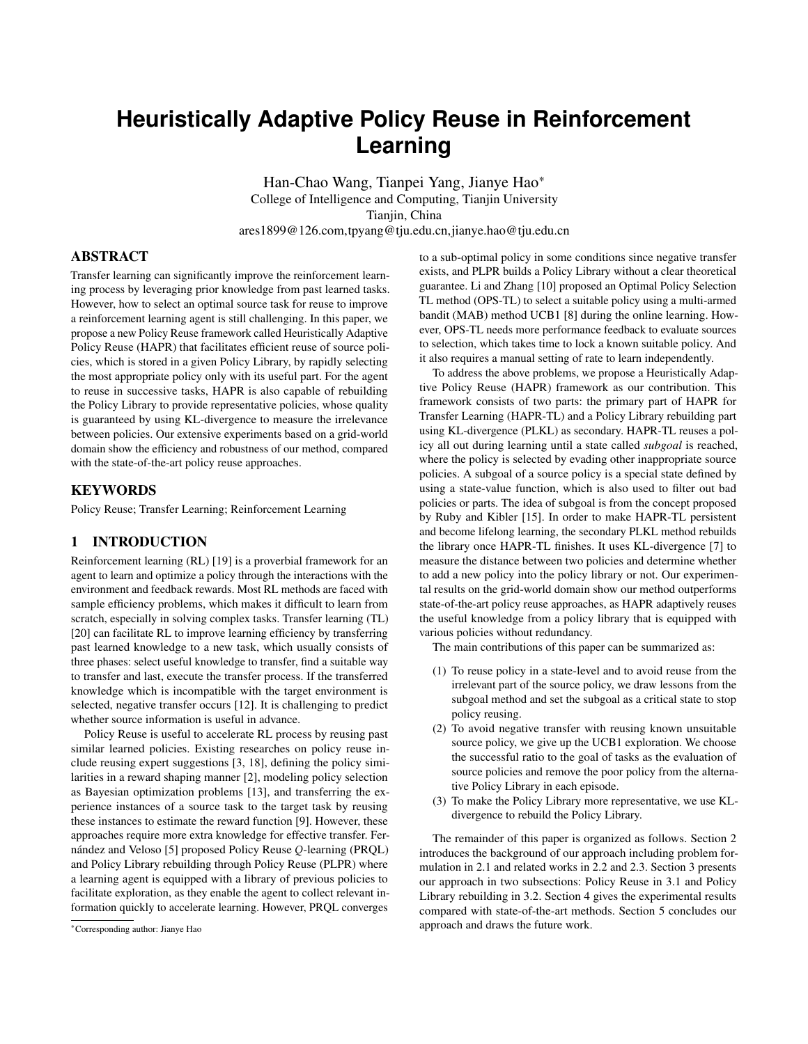$\overline{Algorithm 3}$  \_reuse (src; ;so;s;sg; )

Require: Source Policy src; Target Policy with its Q-value function and C-value function; Initial State  $\alpha$  2 S; State of subgoals; Goal State<sub>G</sub>; last State Trajectory 1: Initialize  $_{\text{neo}} \rightarrow \text{S}_0\frac{1}{4}$ 2: for  $h = 1$ ::H do 3: if  $s <$  neo then 4:  $a_{h}$  1 src<sup>1</sup> $a_{h}$  1<sup>o</sup> 5: else 6: if  $s_G 2$  then 7: a<sub>h 1</sub> \_greedy<sup>1</sup> <sup>1</sup>S<sub>h 1</sub><sup>oo</sup> 8: else 9: Get uniform randoma<sub>h 1</sub> 2 A<sup>1</sup>S<sub>h 1</sub><sup>o</sup>  $10<sup>°</sup>$  end if 11: end if 12: Get state<sub>n</sub> after the action<sub>ah 1</sub> and puts<sub>h</sub> in <sub>neo</sub>. 13: UpdateQ:  $Q^{1}S_{h}$  1;  $a_{h}$  1<sup>0</sup>  $11$  <sup>o</sup> Q<sup>1</sup>S<sub>h 1</sub>; a<sub>h 1</sub><sup>o</sup> + <sup>1</sup>r<sub>h</sub> + max<sub>a</sub><sup>1</sup>Q<sup>1</sup>S<sub>h</sub>; a<sup>ooo</sup> 14: if  $s_{h_1}$  1 < neo then 15:  $\rm C^{0}$  $^{\circ}$  C<sup>1</sup>S<sub>h</sub>  $^{\circ}$  + C<sup>1</sup>S<sub>h</sub>  $1^{\circ}$  + 1 16: end if 17: if  $s_h = s_G$  then 18: UpdateC: C  $C<sub>0</sub>$ 19: exit 20: end if 21: end for 22: NormalizeC with sum of 1 23: return ; neo

getting a new statsafter an action frons<sup>0</sup>, Q-function is updated. The iteration of C-function works at the same time with, but it is just temporarily updated:

$$
C^{01}S^{0}
$$
 1 1 0  $C^{1}S^{0}$  +  $C^{1}S^{0} + 1$  (5)

Formula 5 is slightly different from Formula 1 beca $\mathbb{G}\mathbf{s}^{\text{O}}$  is not really updated. Considering to update more unbiased,<sup>150</sup> is only temporarily updated in the rst time reaching a stateuring the current episode. And is really updated only if the current episode nally arrives to the goal state<sub>G</sub> (Line: 14-18). Algorithm 3 nished if  $s<sub>G</sub>$  is arrived or time stepH is up. AndC-function also needs to be normalized here (Line: 22).

As our Policy Reuse method maximizes the reuse of the policy part selected, the method will have a good performance at the verydirection KL-divergence (without Line: 11,12) as the uni-direction beginning if the part reused is useful, or it will feedback a bad performance in time and the algorithm will avoid selecting the policy having a negative correlation with the target task. And it also can target policy can replace a source policy:

prevent the unbalanced sampling of trajectories in training, so that the newC generated can be used aS-aunction within the source policy for the PLKL method in the next subsection.

#### 3.2 Policy Library rebuilt with KL-divergence

Follow the previous work setting SI, the policy reuse problemeften considers the situation that an agent is equipped with a policy library, is lower than  $_{\rm D}$  while D<sub>KL</sub> is not, the new policy is decided to although HAPR-TL can also learn with itself. In addition, a policy

library can indirectly represent the dynamics of the environment, which also helps the learning process of the agent.

In this section, we give a policy library rebuilding method to ensure the independence among source policies. First, to ensure that each policy in the Policy Library is unique and independent with each other, we use KL-divergence (relative entropy) as a simple criterion to measure the dissimilarity between two policies. Our PLKL method takes the advantages of the KL-divergence of the C-functions of a source policy and the target one in both directions shown in Algorithm 4.

#### Algorithm 4 PLKL(L; )

| Require: Policy Library L with C-value functions; Target Policy                                             |  |  |  |  |  |  |  |
|-------------------------------------------------------------------------------------------------------------|--|--|--|--|--|--|--|
| with its C-value function                                                                                   |  |  |  |  |  |  |  |
| 1: for $\,$ ; 2 L do                                                                                        |  |  |  |  |  |  |  |
| 2: $D_{\mathsf{K}}$ 0; $D_{\mathsf{K}}$ inv<br>- 0                                                          |  |  |  |  |  |  |  |
| $3:$ for $8s2Sd0$                                                                                           |  |  |  |  |  |  |  |
| 4: if $C$ $1s^0 > 0$ and $C_1$ $1s^0 > 0$ then                                                              |  |  |  |  |  |  |  |
| D <sub>KL</sub> $D_{KL} + C_1^1S^0$ $log^1\frac{C_1^1S^0}{C_1^1S^0}$<br>5:                                  |  |  |  |  |  |  |  |
| $D_{KL}$ inv $D_{KL}$ inv + C <sup>1</sup> S <sup>0</sup> $log^1 \frac{C^{-1}S^{0}}{C_{1}^{-1}S^{0}}$<br>6: |  |  |  |  |  |  |  |
| end if<br>7:                                                                                                |  |  |  |  |  |  |  |
| 8: end for                                                                                                  |  |  |  |  |  |  |  |
| 9: if $D_{\text{KI}} <$ then                                                                                |  |  |  |  |  |  |  |
| 10: return L                                                                                                |  |  |  |  |  |  |  |
| 11: else if $D_{KL}$ in $v <$ then                                                                          |  |  |  |  |  |  |  |
| 12: L L f $\mathfrak{g}$                                                                                    |  |  |  |  |  |  |  |
| end if<br>13:                                                                                               |  |  |  |  |  |  |  |
| $14:$ end for                                                                                               |  |  |  |  |  |  |  |
| $q^{\mathsf{o}}$<br>15: return $^1L[f]$                                                                     |  |  |  |  |  |  |  |

We calculate the KL-divergence between the source policy and the target policy to measure the former can be replaced by the latter, shown in Formula 6:

$$
D_{KL} = \frac{\dot{O}}{8s2s; 8C^1s^0 > 0} \cdot \log^1 \frac{C_{src}^1s^0}{C_{tar}^1s^0} \tag{6}
$$

where the source policy $\mathsf{S}\text{-}\mathsf{functionC}_{src}$  and the target policy's C-function $C_{\text{tar}}$  can be considered as normalized distributions of the importance of states in their respective tasks. A large value of in Formula 6 indicates that the original policy is not similar with the target policy. In Algorithm 4, if ever $\mathbf{p}_{\mathsf{K}}$  exceeds a threshold  $D = (2 < 0; 1)$ , the new policy will be joined in the Policy Library L (Line 15). We refer the PLKL only considering the uni-PLKL (uni-KL) method.

Similarly, the inverse KL-divergence can nd out whether the

$$
D_{KL \text{ inv}} = \frac{\dot{O}}{8s2S; 8C^1s^9 > 0} \cdot \log^1 \frac{C_{tar}^1s^0}{C_{src}^1s^0} \tag{7}
$$

A small value of  $D_{KL}$  inv value in Formula 7 indicates that the target policy can replace the source policy. In Algorithm 4, besides joining the target policy in the Policy Library, when the value of  $D_{KL}$  inv replace the source policy  $ln(Line: 11, 12, 15)$ . We refer the whole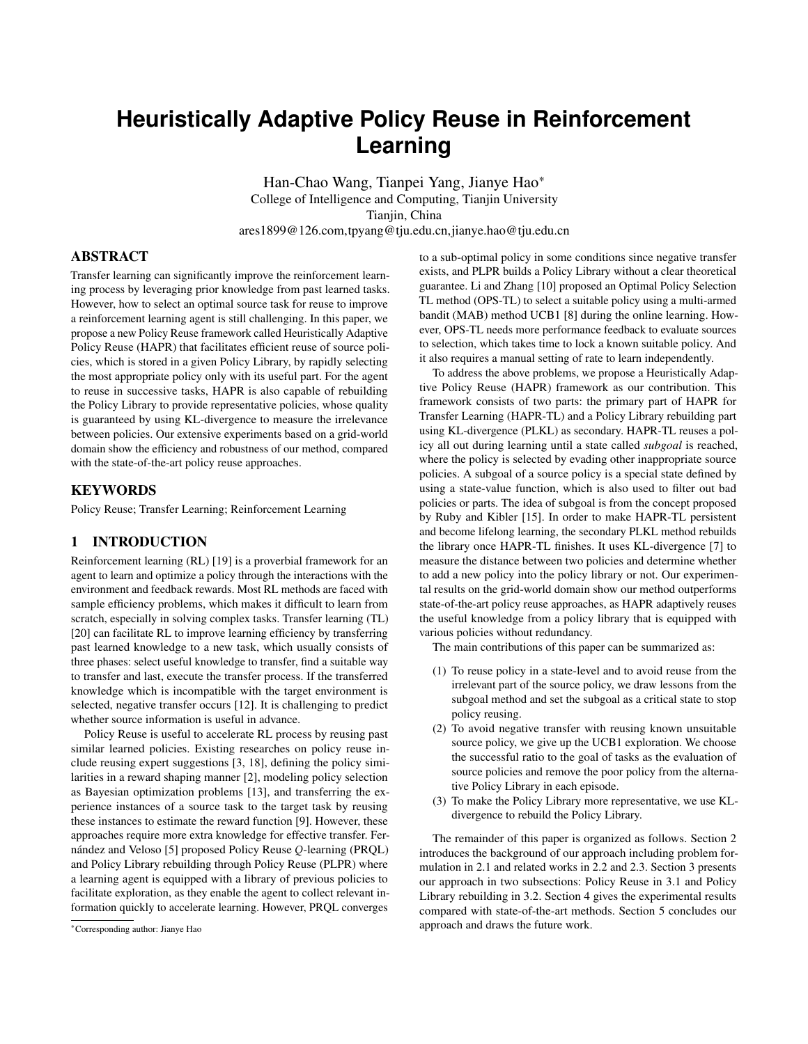PLKL method as the bi-direction PLKL (bi-KL) method. According to the asymmetry of KL-divergence, this method can remove similar must be xed in ourgoal-oriented task. policies from the source Policy Library.

received and the current episode should be terminated. The rail

Our PLKL method ensures that each policy is independence from row start from "Grid(0,0)" on the top-left, such as "Grid(3,2)" refers each other with a theoretical guarantee, as KL-divergence can deto theterminalgrid of task 2 in Figure 1. Without loss of generality, scribe the difference from one distribution to another. KL-divergence we set the length of grids' edge to 1. And we represent the position is not the only option for the requirement, Bhattacharyya distance of agent within a two-dimensional continuous coordina $t$ asya $^{\circ}$ , [1] or JS-divergence [4] can also be used here. For ease of description, we named every grid by its column and wherex<sub>a</sub>  $2 < \sqrt{0}$ ;  $24^{\circ}$  andy  $2 < \sqrt{0}$ ;  $21^{\circ}$ . The agent is in grid(y)

## 4 EXPERIMENTS

In this section, we provide experimental results on a grid-world navigation domain. We rst give some heat-maps to show the feasibility of the C-function in our results. Then we verify that our Policy Reuse method HAPR can transfer quickly and avoid negative distribution in a range of 0:20+0:20. transfer, compared with the related methods including geedy Qlearning, PRQL [5] and OPS-TL [10]. We also compare our PLKL with libraries rebuilt by PLPR [5].

# 4.1 Experimental Setting

Our experiments use 24 21 grid-world navigation domain with 50 sequential tasks, which are represented by the arsin Figure 1.

Figure 1: The domain of Grid-world2006 with 50 tasks

In Figure 1, the type of grid can only beermal, wall or terminal, whose functions are introduced below.

Normalgrid is the only grid in which the agent can form a legal state in the MDP process. In our experiments, an agent will be beginned  $C<sup>1</sup>$ s<sup>to</sup> 0. We rank them according to theirC<sup>1</sup>s<sup>0</sup>. If their num-<br>state in the MDP process. In our experiments, an agent will be beginners th randomly generated in maormal grid to start a navigation episode direction fromeast, north, westandsouthwith a distance to move as an action. After an action, the agent will access to a new grid. If from the rest with C'sº > 0. the new grid is thewall, the agent will be transferred back to the last position and waste one step. If the new grid is the minal, a reward of arriving thegoal state (only arrivingerminal has reward) will be

whenb $x_a$ ;  $y_a$ <sup>o</sup>c =  $1x$ ;  $y^0$ , wherex 2 N $x$ 0; 24<sup>o</sup> andy 2 N $x$ 0; 21<sup>o</sup>. Each action can change one coordinate of the agent's position in length 1 in a direction. To eastincrease the  $x_n$ "; to north decrease the " $y_a$ "; to westdecrease the  $x_a$ " and tosouthincrease the  $y_a$ ". The actual arrival position is affected by an error following a uniform

This environment ha $S = 301$  accessible normal states. We set =  $0.05$  =  $0.95$  for Q-function & C-function update for all method in experiment. And  $= 0.90$  as the exploit rate of the -greedy method. The parameters of the comparison methods including PRQL15 and OPS-TL10 are consistent with the best in those methods. Each method will be trained  $\mathbf{h}$  = 4000episodes and at mostH = 100steps within an episode. And for eald  $\theta$  = 100 episodes, there is a set of test episodes to evaluate the performance of the target policy trained.

## 4.2 Experiment Results

In our experiments, the well-trained policies of tasks  $2, 3$  and 4, whosegoalsare shown in Figure 1, are chosen into an initial source Policy Library  $L_{init} = f_{1}; 2; 3; 49$ .

Feasibility of C-function. In the rst experiment, we choose tasks  $46$  and  $29$  shown in Figure 1 as target tasks. We compare theC-function of them with the tasks  $\mathbf{in}_{\text{init}}$ .

It is intuitive to see that the tasks corresponding to the same room  $(46$  and  $2)$  in Figure 1 are similar. And the heat-maps in Figure 2 shows that such similar tasks have great similarity with their functions, which is normalized by the sum of 1 in this experiment. Figure 1 also shows that<sub>29</sub> didn't have any similar task from  $L_{init}$ . This result manifests that tlefunction can be used as a representative feature of a task. According to this result, we respectively choose  $46$  and  $29$  as the target tasks in the second experiment and the third experiment.

In addition, we get the subgoals of each source policy in preparation for the next experiments. Instead of setting values found

randomly generated imaginary to start a navigation episode<br>with a number of steps. In each step, the agent will choose one, see the contract of the number of subgoals reaches in Formula 3, we sort the states directly according to the form of Formula 3 and choose the  $rbt(b = 2)$  states as subgoals for each source policy src. First, we sample several trajectories according to  $_{\mathrm{src}}$  and gure out  $\,$  C<sup>1</sup>s<sup>0</sup> and  $\,$  C<sup>1</sup>s<sup>0</sup> for each stat**e** and the nex $\mathrm{s}^0$ in every trajectory. Then, we nd out every subgoavith  $C^{1}s^{0} > 0$ and  $C^1s^{00}$  0. We rank them according to the  $C^1s^0$ . If their number is more thab, we take the rsb states of them as subgoals in b, we will keep picking up the state with the highest value  $\mathcal{G}^{\text{ls} \circ}_{\overline{\text{sgn}}}$ 

> In our experiment, the subgoal sets for the source policies in Policy Library L<sub>init</sub> are shown in Table 1. For each task, the states in subgoal set consists of two subgoals and the goal of the task.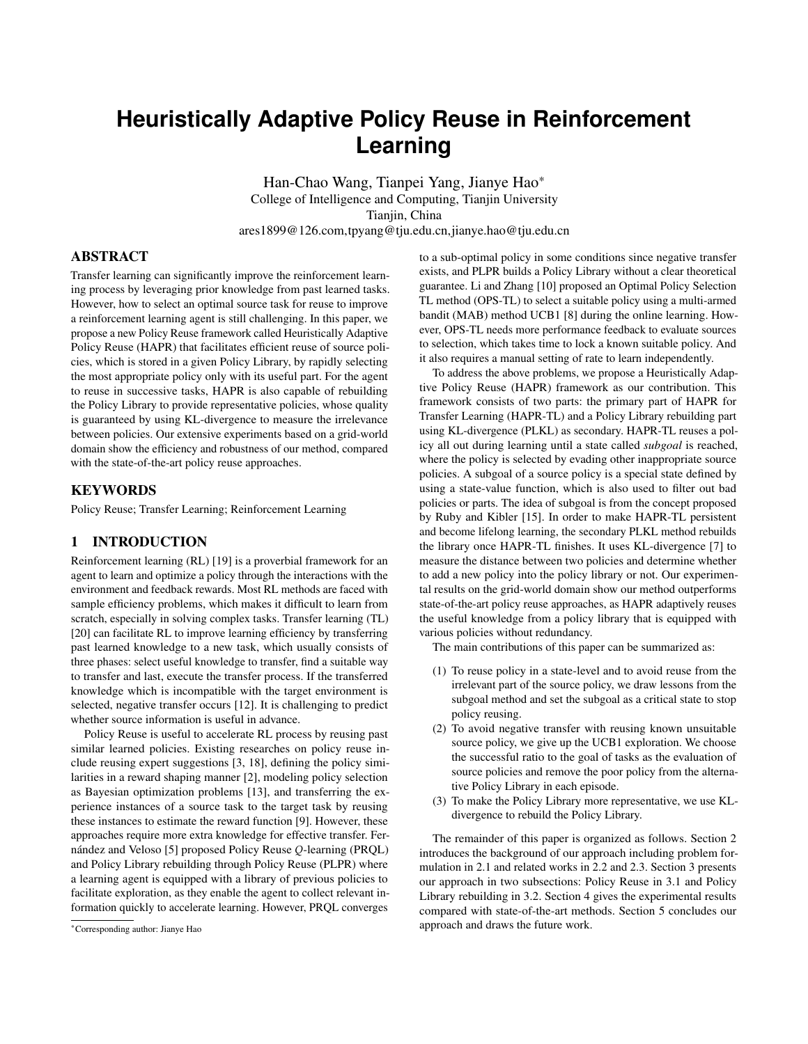Figure 3: Average discounted rewards with suitable src.

1000 episodes to a value more than 0.4. Compared with PRQL and OPS-TL, HAPR has the advantage at "Jumpstart", "Asymptotic Performance", "Time to Threshold" and other evaluate metrics proposed by Taylor and Stone [20]. Our method learns quickly mainly because we fully reuse the source policy with a quick selection. However, the other method have slow selection, and their reuse rate updates as 'with  $= 0.95$  in every step, which leads to a low learning

rate' even in the tenth step  $(10^{\circ} = 0.95^{10} < 0.60)$ .

Figure 2: C-functions of  $1$ ; 2; 3; 4; 46 and 29

Table 1: Subgoal and goal for each task in Linit

| Task | subgoat <sub>1</sub> | subgoals    | goalse      |
|------|----------------------|-------------|-------------|
|      | Grid(13,5)           | Grid(16,2)  | Grid(18,1)  |
|      | Grid(6,6)            | Grid(5,5)   | Grid(3,2)   |
| 3    | Grid(5,15)           | Grid(2,15)  | Grid(3,18)  |
| 4    | Grid(17,15)          | Grid(18,18) | Grid(20,18) |

HAPR-TL with a similar task. In the second experiment, we choose the task  $46$  shown in Figure 1 as the target task. It obviously has a similar task  $2$  in the Policy LibraryL.

OPS-TL, PRQL and-greedy QL top-down when solving task<sub>46</sub>. The learning curve is generated by the average discounted rewardas HAPR-TL, OPS-TL, and PRQL. Error bars represent standard W of each method's on-policy testing, which executed 10 times deviations. after every 100 episodes from 100 to 4000. Error bars of standard In Figure 4, HAPR-TL quickly locked the source policy at the deviations is shrinking to half.

In Figure 3, the average reward of HAPR-TL is greater than

Figure 4: Frequency of reuse from each source task to 46

Figure 3 shows the learning curves of HAPR-TL in our approach, policy in the Policy Library L, where the curve of reusing policy Figure 4 shows frequency curves of the reuse rate of each source of  $2$  is obviously higher than other curves in all three algorithms

0.3 at starting with the rst 100 episodes converges quickly in about exploitation rate for reusing policy of  $_2$  did not go down as in beginning with the highest rate net00%It shows that our selection method is effective to select the right policy. In HAPR-TL, the